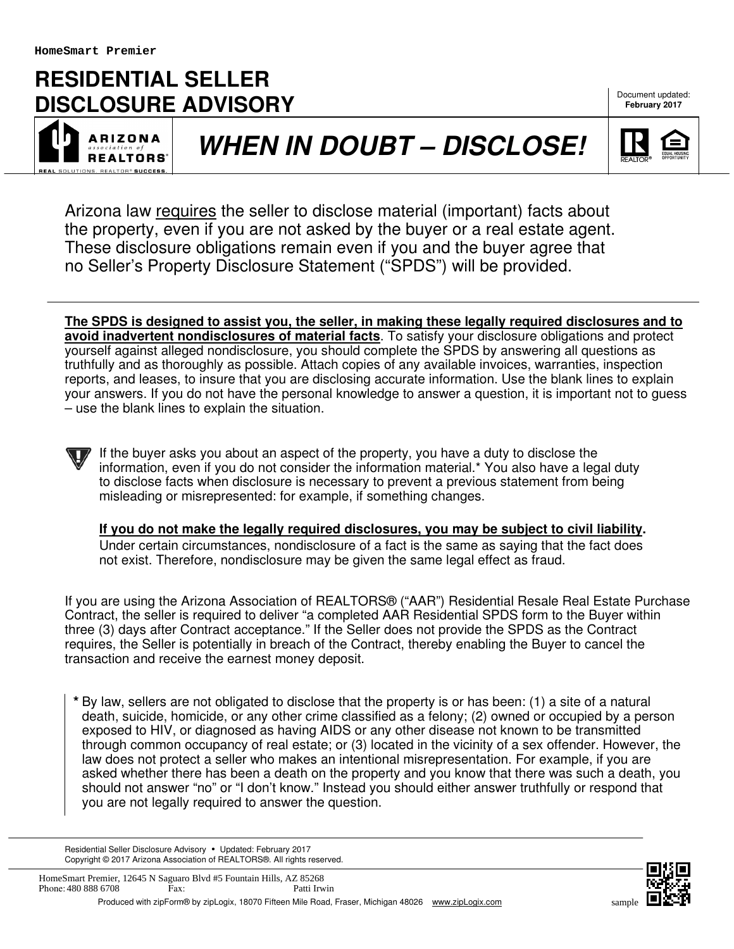# **RESIDENTIAL SELLER DISCLOSURE ADVISORY**

**ARIZONA REALTORS** 

# **WHEN IN DOUBT – DISCLOSE!**



**February 2017**

Arizona law requires the seller to disclose material (important) facts about the property, even if you are not asked by the buyer or a real estate agent. These disclosure obligations remain even if you and the buyer agree that no Seller's Property Disclosure Statement ("SPDS") will be provided.

**The SPDS is designed to assist you, the seller, in making these legally required disclosures and to avoid inadvertent nondisclosures of material facts**. To satisfy your disclosure obligations and protect yourself against alleged nondisclosure, you should complete the SPDS by answering all questions as truthfully and as thoroughly as possible. Attach copies of any available invoices, warranties, inspection reports, and leases, to insure that you are disclosing accurate information. Use the blank lines to explain your answers. If you do not have the personal knowledge to answer a question, it is important not to guess – use the blank lines to explain the situation.

If the buyer asks you about an aspect of the property, you have a duty to disclose the information, even if you do not consider the information material.\* You also have a legal duty to disclose facts when disclosure is necessary to prevent a previous statement from being misleading or misrepresented: for example, if something changes.

**If you do not make the legally required disclosures, you may be subject to civil liability.** Under certain circumstances, nondisclosure of a fact is the same as saying that the fact does not exist. Therefore, nondisclosure may be given the same legal effect as fraud.

If you are using the Arizona Association of REALTORS® ("AAR") Residential Resale Real Estate Purchase Contract, the seller is required to deliver "a completed AAR Residential SPDS form to the Buyer within three (3) days after Contract acceptance." If the Seller does not provide the SPDS as the Contract requires, the Seller is potentially in breach of the Contract, thereby enabling the Buyer to cancel the transaction and receive the earnest money deposit.

**\*** By law, sellers are not obligated to disclose that the property is or has been: (1) a site of a natural death, suicide, homicide, or any other crime classified as a felony; (2) owned or occupied by a person exposed to HIV, or diagnosed as having AIDS or any other disease not known to be transmitted through common occupancy of real estate; or (3) located in the vicinity of a sex offender. However, the law does not protect a seller who makes an intentional misrepresentation. For example, if you are asked whether there has been a death on the property and you know that there was such a death, you should not answer "no" or "I don't know." Instead you should either answer truthfully or respond that you are not legally required to answer the question.

Residential Seller Disclosure Advisory · Updated: February 2017 Copyright © 2017 Arizona Association of REALTORS®. All rights reserved.

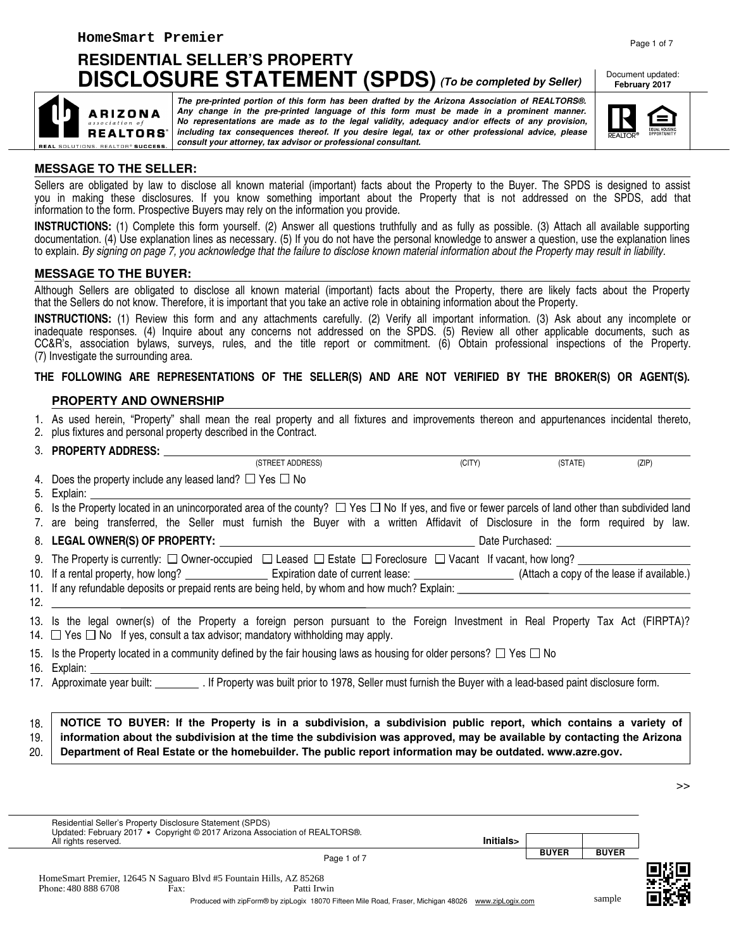## **RESIDENTIAL SELLER'S PROPERTY DISCLOSURE STATEMENT (SPDS) (To be completed by Seller)**

**consult your attorney, tax advisor or professional consultant.**

Document updated: **February 2017**



## **MESSAGE TO THE SELLER:**

EAL SOLUTIONS. REALTOR® SUCCESS.

**ARIZONA REALTORS**\*

Sellers are obligated by law to disclose all known material (important) facts about the Property to the Buyer. The SPDS is designed to assist you in making these disclosures. If you know something important about the Property that is not addressed on the SPDS, add that information to the form. Prospective Buyers may rely on the information you provide.

**The pre-printed portion of this form has been drafted by the Arizona Association of REALTORS®. Any change in the pre-printed language of this form must be made in a prominent manner. No representations are made as to the legal validity, adequacy and/or effects of any provision, including tax consequences thereof. If you desire legal, tax or other professional advice, please**

**INSTRUCTIONS:** (1) Complete this form yourself. (2) Answer all questions truthfully and as fully as possible. (3) Attach all available supporting documentation. (4) Use explanation lines as necessary. (5) If you do not have the personal knowledge to answer a question, use the explanation lines to explain. By signing on page 7, you acknowledge that the failure to disclose known material information about the Property may result in liability.

#### **MESSAGE TO THE BUYER:**

Although Sellers are obligated to disclose all known material (important) facts about the Property, there are likely facts about the Property that the Sellers do not know. Therefore, it is important that you take an active role in obtaining information about the Property.

**INSTRUCTIONS:** (1) Review this form and any attachments carefully. (2) Verify all important information. (3) Ask about any incomplete or inadequate responses. (4) Inquire about any concerns not addressed on the SPDS. (5) Review all other applicable documents, such as CC&R's, association bylaws, surveys, rules, and the title report or commitment. (6) Obtain professional inspections of the Property. (7) Investigate the surrounding area.

#### **THE FOLLOWING ARE REPRESENTATIONS OF THE SELLER(S) AND ARE NOT VERIFIED BY THE BROKER(S) OR AGENT(S).**

#### **PROPERTY AND OWNERSHIP**

1. As used herein, "Property" shall mean the real property and all fixtures and improvements thereon and appurtenances incidental thereto, 2. plus fixtures and personal property described in the Contract.

3. **PROPERTY ADDRESS:**

(STREET ADDRESS) (CITY) (STATE) (ZIP)

4. Does the property include any leased land?  $\Box$  Yes  $\Box$  No

5. Explain:

6. Is the Property located in an unincorporated area of the county?  $\Box$  Yes  $\Box$  No If yes, and five or fewer parcels of land other than subdivided land 7. are being transferred, the Seller must furnish the Buyer with a written Affidavit of Disclosure in the form required by law.

#### 8. **LEGAL OWNER(S) OF PROPERTY:** 2008 **DEVICES AND RESIDENT ASSAULT CONSUMING PURCHASED:** Date Purchased:

9. The Property is currently:  $\square$  Owner-occupied  $\square$  Leased  $\square$  Estate  $\square$  Foreclosure  $\square$  Vacant If vacant, how long?

10. If a rental property, how long? Expiration date of current lease: [10] (Attach a copy of the lease if available.) 11. If any refundable deposits or prepaid rents are being held, by whom and how much? Explain:

12.

13. Is the legal owner(s) of the Property a foreign person pursuant to the Foreign Investment in Real Property Tax Act (FIRPTA)? 14.  $\Box$  Yes  $\Box$  No If yes, consult a tax advisor; mandatory withholding may apply.

|  | 15. Is the Property located in a community defined by the fair housing laws as housing for older persons? $\Box$ Yes $\Box$ No |  |
|--|--------------------------------------------------------------------------------------------------------------------------------|--|

17. Approximate year built: If Property was built prior to 1978, Seller must furnish the Buyer with a lead-based paint disclosure form.

18. 19. 20. **NOTICE TO BUYER: If the Property is in a subdivision, a subdivision public report, which contains a variety of information about the subdivision at the time the subdivision was approved, may be available by contacting the Arizona Department of Real Estate or the homebuilder. The public report information may be outdated. www.azre.gov.**

| Residential Seller's Property Disclosure Statement (SPDS)           |      | Updated: February 2017 • Copyright © 2017 Arizona Association of REALTORS®. |           |              |              |  |
|---------------------------------------------------------------------|------|-----------------------------------------------------------------------------|-----------|--------------|--------------|--|
| All rights reserved.                                                |      |                                                                             | Initials> |              |              |  |
|                                                                     |      | Page 1 of 7                                                                 |           | <b>BUYER</b> | <b>BUYER</b> |  |
|                                                                     |      |                                                                             |           |              |              |  |
| HomeSmart Premier, 12645 N Saguaro Blvd #5 Fountain Hills, AZ 85268 |      |                                                                             |           |              |              |  |
| Phone: 480 888 6708                                                 | Fax: | Patti Irwin                                                                 |           |              |              |  |



sample

>>

<sup>16.</sup> Explain: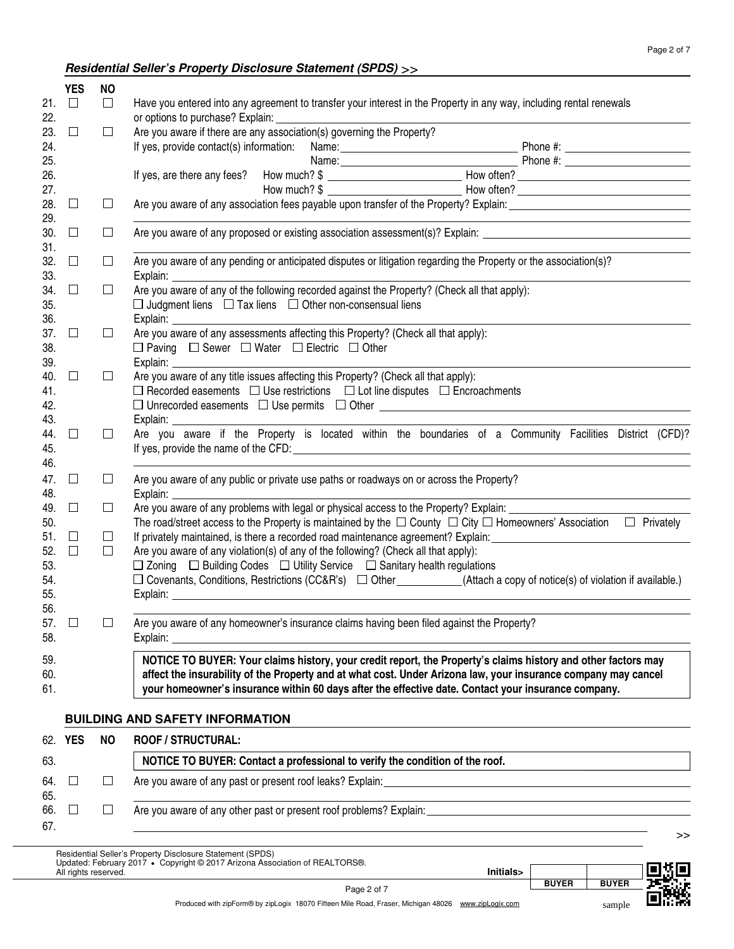## **Residential Seller's Property Disclosure Statement (SPDS)** >>

|            | <b>YES</b> | <b>NO</b> |                                                                                                                                       |  |
|------------|------------|-----------|---------------------------------------------------------------------------------------------------------------------------------------|--|
| 21.<br>22. | $\Box$     | $\Box$    | Have you entered into any agreement to transfer your interest in the Property in any way, including rental renewals                   |  |
| 23.        | $\Box$     | $\Box$    | Are you aware if there are any association(s) governing the Property?                                                                 |  |
| 24.        |            |           |                                                                                                                                       |  |
| 25.        |            |           |                                                                                                                                       |  |
| 26.        |            |           |                                                                                                                                       |  |
| 27.        |            |           |                                                                                                                                       |  |
| 28.        | $\Box$     | $\Box$    |                                                                                                                                       |  |
| 29.        |            |           |                                                                                                                                       |  |
| 30.<br>31. | $\Box$     | $\Box$    | Are you aware of any proposed or existing association assessment(s)? Explain: ________________________________                        |  |
| 32.        | $\Box$     | $\Box$    | Are you aware of any pending or anticipated disputes or litigation regarding the Property or the association(s)?                      |  |
| 33.        |            |           |                                                                                                                                       |  |
| 34.        | $\Box$     | $\Box$    | Are you aware of any of the following recorded against the Property? (Check all that apply):                                          |  |
| 35.        |            |           | $\Box$ Judgment liens $\Box$ Tax liens $\Box$ Other non-consensual liens                                                              |  |
| 36.        |            |           |                                                                                                                                       |  |
| 37.        | $\Box$     | $\Box$    | Are you aware of any assessments affecting this Property? (Check all that apply):                                                     |  |
| 38.        |            |           | $\Box$ Paving $\Box$ Sewer $\Box$ Water $\Box$ Electric $\Box$ Other                                                                  |  |
| 39.        |            |           |                                                                                                                                       |  |
| 40.        | Ш          | $\Box$    | Are you aware of any title issues affecting this Property? (Check all that apply):                                                    |  |
| 41.        |            |           | $\Box$ Recorded easements $\Box$ Use restrictions $\Box$ Lot line disputes $\Box$ Encroachments                                       |  |
| 42.        |            |           | □ Unrecorded easements □ Use permits □ Other ___________________________________                                                      |  |
| 43.        |            |           |                                                                                                                                       |  |
| 44.        | $\Box$     | $\Box$    | Are you aware if the Property is located within the boundaries of a Community Facilities District (CFD)?                              |  |
| 45.<br>46. |            |           |                                                                                                                                       |  |
|            |            |           |                                                                                                                                       |  |
| 47.<br>48. | $\Box$     | $\Box$    | Are you aware of any public or private use paths or roadways on or across the Property?                                               |  |
| 49.        | $\Box$     | $\Box$    | Are you aware of any problems with legal or physical access to the Property? Explain: _____________                                   |  |
| 50.        |            |           | The road/street access to the Property is maintained by the $\Box$ County $\Box$ City $\Box$ Homeowners' Association $\Box$ Privately |  |
| 51.        | $\Box$     | $\Box$    | If privately maintained, is there a recorded road maintenance agreement? Explain: ____________________________                        |  |
| 52.        | $\Box$     | $\Box$    | Are you aware of any violation(s) of any of the following? (Check all that apply):                                                    |  |
| 53.        |            |           | $\Box$ Zoning $\Box$ Building Codes $\Box$ Utility Service $\Box$ Sanitary health regulations                                         |  |
| 54.        |            |           | □ Covenants, Conditions, Restrictions (CC&R's) □ Other ___________(Attach a copy of notice(s) of violation if available.)             |  |
| 55.        |            |           |                                                                                                                                       |  |
| 56.        |            |           |                                                                                                                                       |  |
| 57.        | $\Box$     | $\Box$    | Are you aware of any homeowner's insurance claims having been filed against the Property?                                             |  |
| 58.        |            |           | Explain:                                                                                                                              |  |
| 59.        |            |           | NOTICE TO BUYER: Your claims history, your credit report, the Property's claims history and other factors may                         |  |
| 60.        |            |           | affect the insurability of the Property and at what cost. Under Arizona law, your insurance company may cancel                        |  |
| 61.        |            |           | your homeowner's insurance within 60 days after the effective date. Contact your insurance company.                                   |  |
|            |            |           |                                                                                                                                       |  |
|            |            |           | <b>BUILDING AND SAFETY INFORMATION</b>                                                                                                |  |
|            | 62. YES    | <b>NO</b> | <b>ROOF / STRUCTURAL:</b>                                                                                                             |  |
| 63.        |            |           | NOTICE TO BUYER: Contact a professional to verify the condition of the roof.                                                          |  |
| 64.        | $\Box$     | ⊔         |                                                                                                                                       |  |
| 65.        |            |           |                                                                                                                                       |  |
| 66.        | $\Box$     | ⊔         |                                                                                                                                       |  |
| 67.        |            |           |                                                                                                                                       |  |

>>

Residential Seller's Property Disclosure Statement (SPDS) Updated: February 2017 **•** Copyright © 2017 Arizona Association of REALTORS®. All rights reserved. **Initials>**



sample

Produced with zipForm® by zipLogix 18070 Fifteen Mile Road, Fraser, Michigan 48026 www.zipLogix.com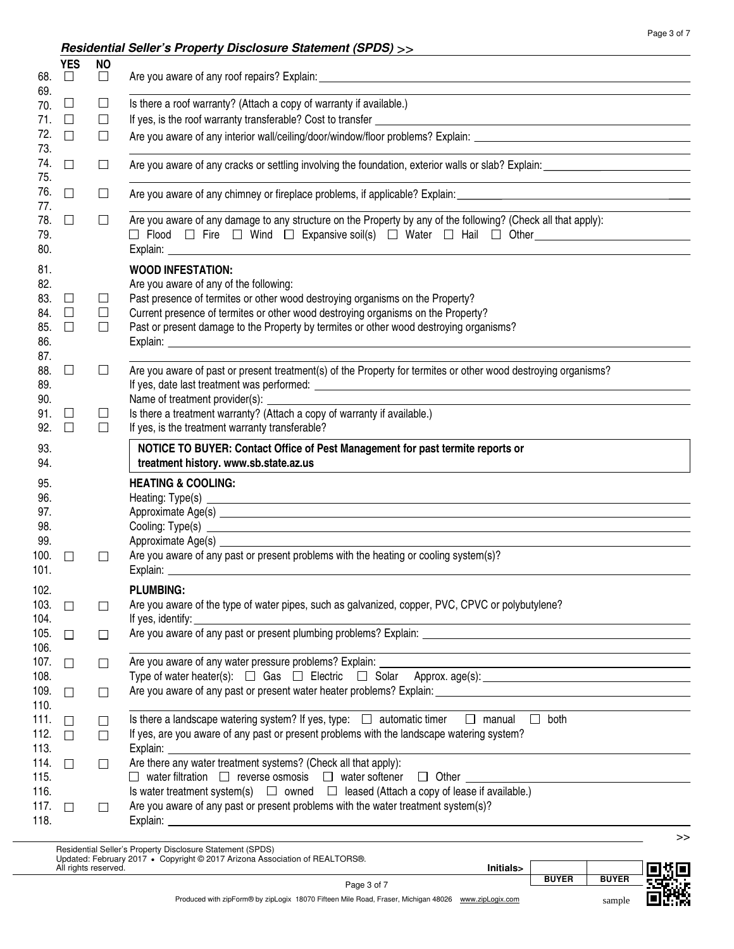## **Residential Seller's Property Disclosure Statement (SPDS)** >>

| 68.                                             | <b>YES</b><br>$\Box$       | <b>NO</b><br>$\Box$        |                                                                                                                                                                                                                                                                                                                                   |
|-------------------------------------------------|----------------------------|----------------------------|-----------------------------------------------------------------------------------------------------------------------------------------------------------------------------------------------------------------------------------------------------------------------------------------------------------------------------------|
| 69.                                             |                            |                            |                                                                                                                                                                                                                                                                                                                                   |
| 70.<br>71.                                      | $\Box$<br>$\Box$           | $\Box$<br>□                | Is there a roof warranty? (Attach a copy of warranty if available.)                                                                                                                                                                                                                                                               |
| 72.                                             | П                          |                            |                                                                                                                                                                                                                                                                                                                                   |
| 73.                                             |                            | $\Box$                     | Are you aware of any interior wall/ceiling/door/window/floor problems? Explain:                                                                                                                                                                                                                                                   |
| 74.<br>75.                                      | П                          | $\Box$                     |                                                                                                                                                                                                                                                                                                                                   |
| 76.                                             | П                          | ப                          | Are you aware of any chimney or fireplace problems, if applicable? Explain: __________________________________                                                                                                                                                                                                                    |
| 77.<br>78.<br>79.<br>80.                        | $\Box$                     | $\Box$                     | Are you aware of any damage to any structure on the Property by any of the following? (Check all that apply):                                                                                                                                                                                                                     |
| 81.<br>82.<br>83.<br>84.<br>85.<br>86.<br>87.   | $\Box$<br>$\Box$<br>$\Box$ | $\Box$<br>$\Box$<br>$\Box$ | <b>WOOD INFESTATION:</b><br>Are you aware of any of the following:<br>Past presence of termites or other wood destroying organisms on the Property?<br>Current presence of termites or other wood destroying organisms on the Property?<br>Past or present damage to the Property by termites or other wood destroying organisms? |
| 88.<br>89.                                      | $\Box$                     | $\Box$                     | Are you aware of past or present treatment(s) of the Property for termites or other wood destroying organisms?                                                                                                                                                                                                                    |
| 90.                                             |                            |                            |                                                                                                                                                                                                                                                                                                                                   |
| 91.                                             | $\Box$                     | $\Box$                     | Is there a treatment warranty? (Attach a copy of warranty if available.)                                                                                                                                                                                                                                                          |
| 92.                                             | П                          | □                          | If yes, is the treatment warranty transferable?                                                                                                                                                                                                                                                                                   |
| 93.<br>94.                                      |                            |                            | NOTICE TO BUYER: Contact Office of Pest Management for past termite reports or<br>treatment history. www.sb.state.az.us                                                                                                                                                                                                           |
| 95.<br>96.<br>97.<br>98.<br>99.<br>100.<br>101. | $\perp$                    | $\perp$                    | <b>HEATING &amp; COOLING:</b><br>Are you aware of any past or present problems with the heating or cooling system(s)?                                                                                                                                                                                                             |
| 102.                                            |                            |                            | <b>PLUMBING:</b>                                                                                                                                                                                                                                                                                                                  |
| 103.<br>104.                                    | $\Box$                     | П                          | Are you aware of the type of water pipes, such as galvanized, copper, PVC, CPVC or polybutylene?<br>If yes, identify:                                                                                                                                                                                                             |
| 105.<br>106.                                    | $\Box$                     | $\perp$                    |                                                                                                                                                                                                                                                                                                                                   |
| 107.                                            | $\Box$                     | $\Box$                     | Are you aware of any water pressure problems? Explain: ___________________<br><u> 1989 - Johann John Stone, markin film yn y brenin y brenin y brenin y brenin y brenin y brenin y brenin y br</u>                                                                                                                                |
| 108.                                            |                            |                            |                                                                                                                                                                                                                                                                                                                                   |
| 109.                                            | $\perp$                    | $\Box$                     | Are you aware of any past or present water heater problems? Explain: _______________________________                                                                                                                                                                                                                              |
| 110.                                            |                            |                            |                                                                                                                                                                                                                                                                                                                                   |
| 111.                                            | $\perp$                    | $\Box$                     | Is there a landscape watering system? If yes, type: $\Box$ automatic timer $\Box$ manual<br>$\Box$ both                                                                                                                                                                                                                           |
| 112.<br>113.                                    | $\Box$                     | $\Box$                     | If yes, are you aware of any past or present problems with the landscape watering system?<br>Explain: _                                                                                                                                                                                                                           |
| 114.                                            | П                          | П                          | Are there any water treatment systems? (Check all that apply):                                                                                                                                                                                                                                                                    |
| 115.                                            |                            |                            | $\Box$ water filtration $\Box$ reverse osmosis $\Box$ water softener<br>$\Box$ Other                                                                                                                                                                                                                                              |
| 116.                                            |                            |                            | Is water treatment system(s) $\Box$ owned $\Box$ leased (Attach a copy of lease if available.)                                                                                                                                                                                                                                    |
| 117.                                            | $\Box$                     | П                          | Are you aware of any past or present problems with the water treatment system(s)?                                                                                                                                                                                                                                                 |
| 118.                                            |                            |                            |                                                                                                                                                                                                                                                                                                                                   |
|                                                 |                            |                            | >><br>Residential Seller's Property Disclosure Statement (SPDS)                                                                                                                                                                                                                                                                   |

Residential Seller's Property Disclosure Statement (SPDS) Updated: February 2017 **•** Copyright © 2017 Arizona Association of REALTORS®.

| $U$ pualeu. February 2017 $\bullet$ Copyright $\otimes$ 2017 Arizona Association of REALTORS $\otimes$ .<br>Initials><br>All rights reserved. |              |              |  |
|-----------------------------------------------------------------------------------------------------------------------------------------------|--------------|--------------|--|
| Page 3 of 7                                                                                                                                   | <b>BUYER</b> | <b>BUYER</b> |  |
| Produced with zipForm® by zipLogix 18070 Fifteen Mile Road, Fraser, Michigan 48026 www.zipLogix.com                                           |              | sample       |  |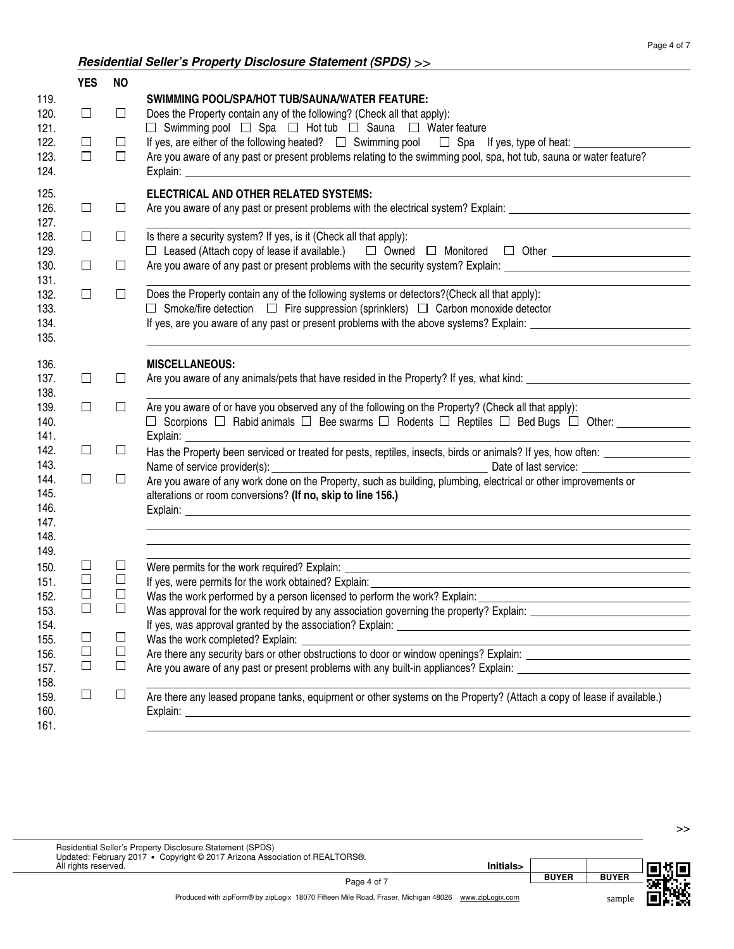## **Residential Seller's Property Disclosure Statement (SPDS)** >>

Was the work completed? Explain:

Explain: Explain:

122. 121.

123.

124.

125.

126.

127.

128. 129.

130.

131.

132.

133. 134. 135.

136. 137. 138. 139. 140. 141. 142. 143. 144. 145. 146. 147. 148. 149. 150. 151. 152. 153. 154. 155. 156. 157. 158. 159. 160. 161.

 $\Box$ 

 $\Box$ 

 $\Box$ 

 $\Box$ 

 $\Box$ 

 $\Box$ 

 $\Box$ 

 $\Box$ 

119.

120.

|                            |                                      | Residential Seller S Property Disclosure Statement (SPDS) >>                                                                                                                                                                                                                                                                                                                                         |
|----------------------------|--------------------------------------|------------------------------------------------------------------------------------------------------------------------------------------------------------------------------------------------------------------------------------------------------------------------------------------------------------------------------------------------------------------------------------------------------|
| <b>YES</b>                 | <b>NO</b>                            |                                                                                                                                                                                                                                                                                                                                                                                                      |
| $\Box$<br>$\Box$<br>$\Box$ | □<br>$\Box$<br>$\Box$                | <b>SWIMMING POOL/SPA/HOT TUB/SAUNA/WATER FEATURE:</b><br>Does the Property contain any of the following? (Check all that apply):<br>$\Box$ Swimming pool $\Box$ Spa $\Box$ Hot tub $\Box$ Sauna $\Box$ Water feature<br>Are you aware of any past or present problems relating to the swimming pool, spa, hot tub, sauna or water feature?                                                           |
| $\Box$                     | $\Box$                               | ELECTRICAL AND OTHER RELATED SYSTEMS:<br>Are you aware of any past or present problems with the electrical system? Explain: ___________________________                                                                                                                                                                                                                                              |
| $\Box$                     | $\Box$                               | Is there a security system? If yes, is it (Check all that apply):<br>□ Leased (Attach copy of lease if available.) □ Owned □ Monitored □ Other _________________________                                                                                                                                                                                                                             |
| $\Box$                     | $\Box$                               | Are you aware of any past or present problems with the security system? Explain: _____________________________                                                                                                                                                                                                                                                                                       |
| $\Box$                     | $\Box$                               | Does the Property contain any of the following systems or detectors? (Check all that apply):<br>$\Box$ Smoke/fire detection $\Box$ Fire suppression (sprinklers) $\Box$ Carbon monoxide detector<br>If yes, are you aware of any past or present problems with the above systems? Explain:                                                                                                           |
| $\Box$                     | □                                    | <b>MISCELLANEOUS:</b>                                                                                                                                                                                                                                                                                                                                                                                |
| $\Box$                     | □                                    | Are you aware of or have you observed any of the following on the Property? (Check all that apply):<br>□ Scorpions □ Rabid animals □ Bee swarms □ Rodents □ Reptiles □ Bed Bugs □ Other: ____________                                                                                                                                                                                                |
| $\Box$                     | $\Box$                               | Has the Property been serviced or treated for pests, reptiles, insects, birds or animals? If yes, how often:                                                                                                                                                                                                                                                                                         |
| ⊔                          | $\Box$                               | Are you aware of any work done on the Property, such as building, plumbing, electrical or other improvements or<br>alterations or room conversions? (If no, skip to line 156.)                                                                                                                                                                                                                       |
| $\Box$<br>$\Box$<br>$\Box$ | $\Box$<br>$\Box$<br>$\Box$<br>$\Box$ | Were permits for the work required? Explain:<br><u> 1989 - Johann Barn, mars ann an t-Amhainn an t-Amhainn an t-Amhainn an t-Amhainn an t-Amhainn an t-Amhainn an</u><br>If yes, were permits for the work obtained? Explain:<br>Was the work performed by a person licensed to perform the work? Explain:<br>Was approval for the work required by any association governing the property? Explain: |

If yes, was approval granted by the association? Explain:

Are there any security bars or other obstructions to door or window openings? Explain: Are you aware of any past or present problems with any built-in appliances? Explain: \_\_\_\_\_\_\_\_\_\_\_\_\_\_\_\_\_\_\_\_\_\_\_\_\_

Are there any leased propane tanks, equipment or other systems on the Property? (Attach a copy of lease if available.)

| Residential Seller's Property Disclosure Statement (SPDS)<br>Updated: February 2017 • Copyright © 2017 Arizona Association of REALTORS®. |           |              |              |  |
|------------------------------------------------------------------------------------------------------------------------------------------|-----------|--------------|--------------|--|
| All rights reserved.                                                                                                                     | Initials> |              |              |  |
| Page 4 of 7                                                                                                                              |           | <b>BUYER</b> | <b>BUYER</b> |  |
| Produced with zipForm® by zipLogix 18070 Fifteen Mile Road, Fraser, Michigan 48026 www.zipLogix.com                                      |           |              | sample       |  |

>>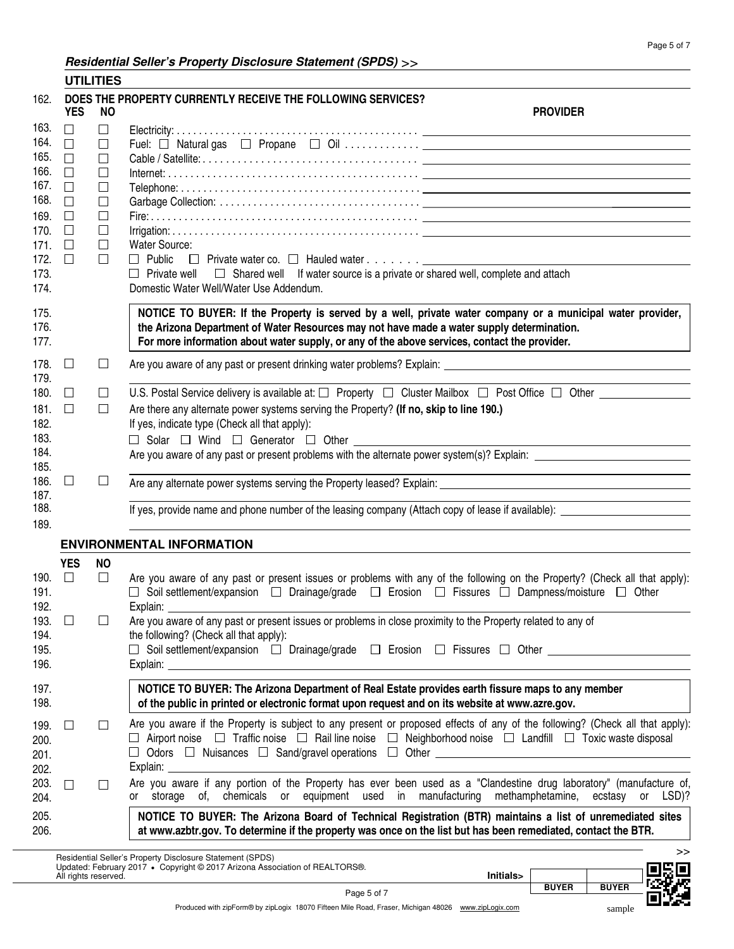#### **Residential Seller's Property Disclosure Statement (SPDS)** >> **UTILITIES**

|                                                                                              |                                                                                                  | UIILIILS                                                                               |                                                                                                                                                                                                                                                                                                                                                                                                                                                                                                                                                                                                                                                                                                                   |
|----------------------------------------------------------------------------------------------|--------------------------------------------------------------------------------------------------|----------------------------------------------------------------------------------------|-------------------------------------------------------------------------------------------------------------------------------------------------------------------------------------------------------------------------------------------------------------------------------------------------------------------------------------------------------------------------------------------------------------------------------------------------------------------------------------------------------------------------------------------------------------------------------------------------------------------------------------------------------------------------------------------------------------------|
| 162.                                                                                         | <b>YES</b>                                                                                       | NO.                                                                                    | DOES THE PROPERTY CURRENTLY RECEIVE THE FOLLOWING SERVICES?<br><b>PROVIDER</b>                                                                                                                                                                                                                                                                                                                                                                                                                                                                                                                                                                                                                                    |
| 163.<br>164.<br>165.<br>166.<br>167.<br>168.<br>169.<br>170.<br>171.<br>172.<br>173.<br>174. | $\Box$<br>$\Box$<br>$\Box$<br>$\Box$<br>$\Box$<br>$\Box$<br>$\Box$<br>$\Box$<br>$\Box$<br>$\Box$ | □<br>$\Box$<br>$\Box$<br>□<br>$\Box$<br>$\Box$<br>$\Box$<br>$\Box$<br>$\Box$<br>$\Box$ | <b>Water Source:</b><br>$\Box$ Private well<br>$\Box$ Shared well If water source is a private or shared well, complete and attach<br>Domestic Water Well/Water Use Addendum.                                                                                                                                                                                                                                                                                                                                                                                                                                                                                                                                     |
| 175.<br>176.<br>177.                                                                         |                                                                                                  |                                                                                        | NOTICE TO BUYER: If the Property is served by a well, private water company or a municipal water provider,<br>the Arizona Department of Water Resources may not have made a water supply determination.<br>For more information about water supply, or any of the above services, contact the provider.                                                                                                                                                                                                                                                                                                                                                                                                           |
| 178.<br>179.                                                                                 | $\Box$                                                                                           | $\Box$                                                                                 |                                                                                                                                                                                                                                                                                                                                                                                                                                                                                                                                                                                                                                                                                                                   |
| 180.<br>181.<br>182.<br>183.<br>184.                                                         | $\Box$<br>$\Box$                                                                                 | $\Box$<br>$\Box$                                                                       | U.S. Postal Service delivery is available at: $\square$ Property $\square$ Cluster Mailbox $\square$ Post Office $\square$ Other $\square$<br>Are there any alternate power systems serving the Property? (If no, skip to line 190.)<br>If yes, indicate type (Check all that apply):<br>$\Box$ Solar $\Box$ Wind $\Box$ Generator $\Box$ Other                                                                                                                                                                                                                                                                                                                                                                   |
| 185.<br>186.<br>187.<br>188.<br>189.                                                         | $\Box$                                                                                           | ⊔                                                                                      | If yes, provide name and phone number of the leasing company (Attach copy of lease if available): ____________                                                                                                                                                                                                                                                                                                                                                                                                                                                                                                                                                                                                    |
|                                                                                              |                                                                                                  |                                                                                        | <b>ENVIRONMENTAL INFORMATION</b>                                                                                                                                                                                                                                                                                                                                                                                                                                                                                                                                                                                                                                                                                  |
| 190. $\Box$<br>191.<br>192.<br>193. $\square$<br>194.<br>195.<br>196.                        | <b>YES</b>                                                                                       | <b>NO</b><br>$\Box$<br>$\Box$                                                          | Are you aware of any past or present issues or problems with any of the following on the Property? (Check all that apply):<br>□ Soil settlement/expansion □ Drainage/grade □ Erosion □ Fissures □ Dampness/moisture □ Other<br>Explain: North Contract Contract Contract Contract Contract Contract Contract Contract Contract Contract Contract Contract Contract Contract Contract Contract Contract Contract Contract Contract Contract Contract Contract<br>Are you aware of any past or present issues or problems in close proximity to the Property related to any of<br>the following? (Check all that apply):<br>Soil settlement/expansion □ Drainage/grade □ Erosion □ Fissures □ Other _______________ |
| 197.<br>198.                                                                                 |                                                                                                  |                                                                                        | NOTICE TO BUYER: The Arizona Department of Real Estate provides earth fissure maps to any member<br>of the public in printed or electronic format upon request and on its website at www.azre.gov.                                                                                                                                                                                                                                                                                                                                                                                                                                                                                                                |
| 199.<br>200.<br>201.<br>202.                                                                 | $\Box$                                                                                           | $\perp$                                                                                | Are you aware if the Property is subject to any present or proposed effects of any of the following? (Check all that apply):<br>$\Box$ Airport noise $\Box$ Traffic noise $\Box$ Rail line noise $\Box$ Neighborhood noise $\Box$ Landfill $\Box$ Toxic waste disposal                                                                                                                                                                                                                                                                                                                                                                                                                                            |
| 203.<br>204.                                                                                 | $\Box$                                                                                           |                                                                                        | Are you aware if any portion of the Property has ever been used as a "Clandestine drug laboratory" (manufacture of,<br>or storage of, chemicals or equipment used in manufacturing methamphetamine,<br>ecstasy or LSD)?                                                                                                                                                                                                                                                                                                                                                                                                                                                                                           |
| 205.<br>206.                                                                                 |                                                                                                  |                                                                                        | NOTICE TO BUYER: The Arizona Board of Technical Registration (BTR) maintains a list of unremediated sites<br>at www.azbtr.gov. To determine if the property was once on the list but has been remediated, contact the BTR.                                                                                                                                                                                                                                                                                                                                                                                                                                                                                        |
|                                                                                              | All rights reserved.                                                                             |                                                                                        | >><br>Residential Seller's Property Disclosure Statement (SPDS)<br>Updated: February 2017 • Copyright © 2017 Arizona Association of REALTORS®.<br>Initials>                                                                                                                                                                                                                                                                                                                                                                                                                                                                                                                                                       |



sample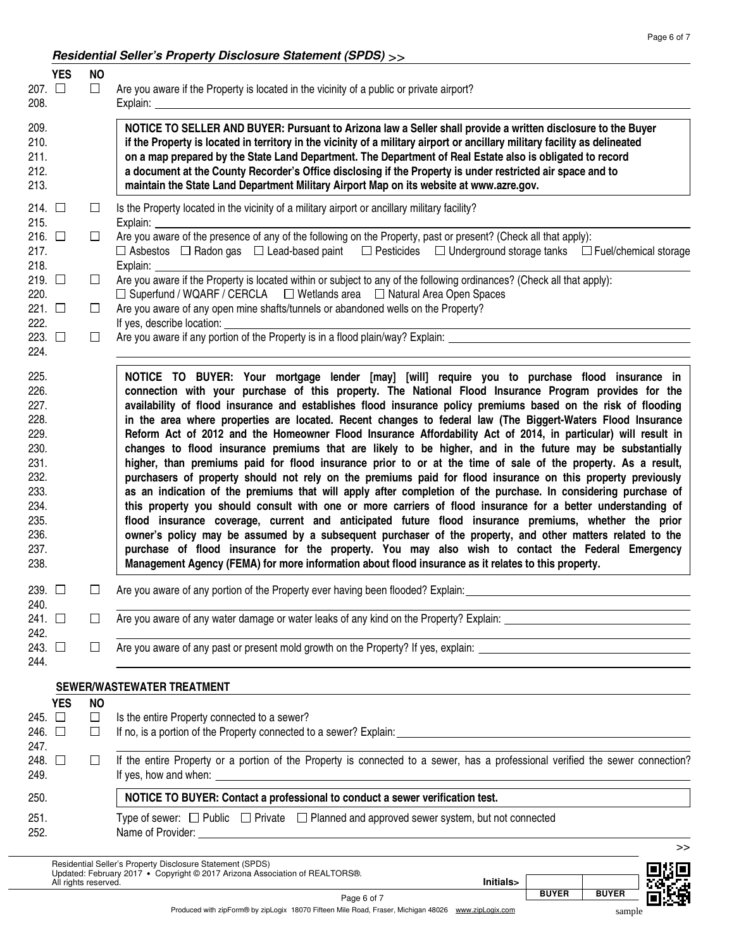## **Residential Seller's Property Disclosure Statement (SPDS)** >>

| 207. LI<br>208.                                                                                              | <b>YES</b> | <b>NO</b><br>$\Box$      | Are you aware if the Property is located in the vicinity of a public or private airport?                                                                                                                                                                                                                                                                                                                                                                                                                                                                                                                                                                                                                                                                                                                                                                                                                                                                                                                                                                                                                                                                                                                                                                                                                                                                                                                                                                                                                                                                           |
|--------------------------------------------------------------------------------------------------------------|------------|--------------------------|--------------------------------------------------------------------------------------------------------------------------------------------------------------------------------------------------------------------------------------------------------------------------------------------------------------------------------------------------------------------------------------------------------------------------------------------------------------------------------------------------------------------------------------------------------------------------------------------------------------------------------------------------------------------------------------------------------------------------------------------------------------------------------------------------------------------------------------------------------------------------------------------------------------------------------------------------------------------------------------------------------------------------------------------------------------------------------------------------------------------------------------------------------------------------------------------------------------------------------------------------------------------------------------------------------------------------------------------------------------------------------------------------------------------------------------------------------------------------------------------------------------------------------------------------------------------|
| 209.<br>210.<br>211.<br>212.<br>213.                                                                         |            |                          | NOTICE TO SELLER AND BUYER: Pursuant to Arizona law a Seller shall provide a written disclosure to the Buyer<br>if the Property is located in territory in the vicinity of a military airport or ancillary military facility as delineated<br>on a map prepared by the State Land Department. The Department of Real Estate also is obligated to record<br>a document at the County Recorder's Office disclosing if the Property is under restricted air space and to<br>maintain the State Land Department Military Airport Map on its website at www.azre.gov.                                                                                                                                                                                                                                                                                                                                                                                                                                                                                                                                                                                                                                                                                                                                                                                                                                                                                                                                                                                                   |
| 214. $\Box$<br>215.                                                                                          |            | ப                        | Is the Property located in the vicinity of a military airport or ancillary military facility?<br>Explain: $_{-}$                                                                                                                                                                                                                                                                                                                                                                                                                                                                                                                                                                                                                                                                                                                                                                                                                                                                                                                                                                                                                                                                                                                                                                                                                                                                                                                                                                                                                                                   |
| 216. $\Box$<br>217.<br>218.                                                                                  |            | $\Box$                   | Are you aware of the presence of any of the following on the Property, past or present? (Check all that apply):<br>$\Box$ Asbestos $\Box$ Radon gas $\Box$ Lead-based paint $\Box$ Pesticides $\Box$ Underground storage tanks $\Box$ Fuel/chemical storage<br>Explain:                                                                                                                                                                                                                                                                                                                                                                                                                                                                                                                                                                                                                                                                                                                                                                                                                                                                                                                                                                                                                                                                                                                                                                                                                                                                                            |
| 219. $\Box$<br>220.                                                                                          |            | ப                        | Are you aware if the Property is located within or subject to any of the following ordinances? (Check all that apply):<br>$\Box$ Superfund / WQARF / CERCLA $\Box$ Wetlands area $\Box$ Natural Area Open Spaces                                                                                                                                                                                                                                                                                                                                                                                                                                                                                                                                                                                                                                                                                                                                                                                                                                                                                                                                                                                                                                                                                                                                                                                                                                                                                                                                                   |
| 221. $\Box$<br>222.                                                                                          |            | $\Box$                   | Are you aware of any open mine shafts/tunnels or abandoned wells on the Property?<br>If yes, describe location:                                                                                                                                                                                                                                                                                                                                                                                                                                                                                                                                                                                                                                                                                                                                                                                                                                                                                                                                                                                                                                                                                                                                                                                                                                                                                                                                                                                                                                                    |
| 223. $\Box$<br>224.                                                                                          |            | $\perp$                  | Are you aware if any portion of the Property is in a flood plain/way? Explain: _______________________________                                                                                                                                                                                                                                                                                                                                                                                                                                                                                                                                                                                                                                                                                                                                                                                                                                                                                                                                                                                                                                                                                                                                                                                                                                                                                                                                                                                                                                                     |
| 225.<br>226.<br>227.<br>228.<br>229.<br>230.<br>231.<br>232.<br>233.<br>234.<br>235.<br>236.<br>237.<br>238. |            |                          | NOTICE TO BUYER: Your mortgage lender [may] [will] require you to purchase flood insurance in<br>connection with your purchase of this property. The National Flood Insurance Program provides for the<br>availability of flood insurance and establishes flood insurance policy premiums based on the risk of flooding<br>in the area where properties are located. Recent changes to federal law (The Biggert-Waters Flood Insurance<br>Reform Act of 2012 and the Homeowner Flood Insurance Affordability Act of 2014, in particular) will result in<br>changes to flood insurance premiums that are likely to be higher, and in the future may be substantially<br>higher, than premiums paid for flood insurance prior to or at the time of sale of the property. As a result,<br>purchasers of property should not rely on the premiums paid for flood insurance on this property previously<br>as an indication of the premiums that will apply after completion of the purchase. In considering purchase of<br>this property you should consult with one or more carriers of flood insurance for a better understanding of<br>flood insurance coverage, current and anticipated future flood insurance premiums, whether the prior<br>owner's policy may be assumed by a subsequent purchaser of the property, and other matters related to the<br>purchase of flood insurance for the property. You may also wish to contact the Federal Emergency<br>Management Agency (FEMA) for more information about flood insurance as it relates to this property. |
| 239.<br>240.                                                                                                 |            | ப                        | Are you aware of any portion of the Property ever having been flooded? Explain:                                                                                                                                                                                                                                                                                                                                                                                                                                                                                                                                                                                                                                                                                                                                                                                                                                                                                                                                                                                                                                                                                                                                                                                                                                                                                                                                                                                                                                                                                    |
| 241. $\Box$<br>242.                                                                                          |            | ⊔                        |                                                                                                                                                                                                                                                                                                                                                                                                                                                                                                                                                                                                                                                                                                                                                                                                                                                                                                                                                                                                                                                                                                                                                                                                                                                                                                                                                                                                                                                                                                                                                                    |
| 243.<br>244.                                                                                                 | $\Box$     | ⊔                        | Are you aware of any past or present mold growth on the Property? If yes, explain:                                                                                                                                                                                                                                                                                                                                                                                                                                                                                                                                                                                                                                                                                                                                                                                                                                                                                                                                                                                                                                                                                                                                                                                                                                                                                                                                                                                                                                                                                 |
|                                                                                                              |            |                          | SEWER/WASTEWATER TREATMENT                                                                                                                                                                                                                                                                                                                                                                                                                                                                                                                                                                                                                                                                                                                                                                                                                                                                                                                                                                                                                                                                                                                                                                                                                                                                                                                                                                                                                                                                                                                                         |
| 245. 口<br>246. 口<br>247.                                                                                     | <b>YES</b> | <b>NO</b><br>$\Box$<br>ப | Is the entire Property connected to a sewer?                                                                                                                                                                                                                                                                                                                                                                                                                                                                                                                                                                                                                                                                                                                                                                                                                                                                                                                                                                                                                                                                                                                                                                                                                                                                                                                                                                                                                                                                                                                       |
| 248.<br>249.                                                                                                 | $\Box$     | ப                        | If the entire Property or a portion of the Property is connected to a sewer, has a professional verified the sewer connection?<br>If yes, how and when: _                                                                                                                                                                                                                                                                                                                                                                                                                                                                                                                                                                                                                                                                                                                                                                                                                                                                                                                                                                                                                                                                                                                                                                                                                                                                                                                                                                                                          |
| 250.                                                                                                         |            |                          | NOTICE TO BUYER: Contact a professional to conduct a sewer verification test.                                                                                                                                                                                                                                                                                                                                                                                                                                                                                                                                                                                                                                                                                                                                                                                                                                                                                                                                                                                                                                                                                                                                                                                                                                                                                                                                                                                                                                                                                      |
| 251.<br>252.                                                                                                 |            |                          | Type of sewer: $\Box$ Public $\Box$ Private $\Box$ Planned and approved sewer system, but not connected<br>>                                                                                                                                                                                                                                                                                                                                                                                                                                                                                                                                                                                                                                                                                                                                                                                                                                                                                                                                                                                                                                                                                                                                                                                                                                                                                                                                                                                                                                                       |
|                                                                                                              |            |                          |                                                                                                                                                                                                                                                                                                                                                                                                                                                                                                                                                                                                                                                                                                                                                                                                                                                                                                                                                                                                                                                                                                                                                                                                                                                                                                                                                                                                                                                                                                                                                                    |

Residential Seller's Property Disclosure Statement (SPDS) Updated: February 2017 **•** All rights reserved. **Initials>** Copyright © 2017 Arizona Association of REALTORS®.